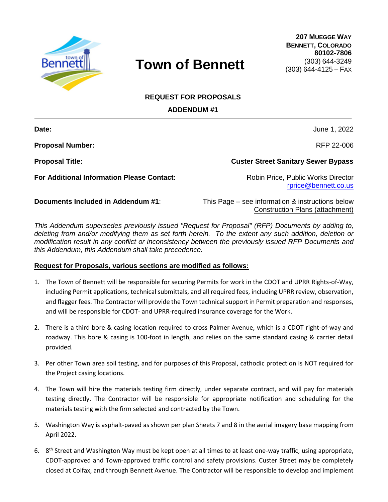

## **Town of Bennett**

**207 MUEGGE WAY BENNETT, COLORADO 80102-7806** (303) 644-3249 (303) 644-4125 – FAX

## **REQUEST FOR PROPOSALS**

**ADDENDUM #1**

**Proposal Number:** RFP 22-006

**For Additional Information Please Contact:** Robin Price, Public Works Director

**Date:** June 1, 2022

**Proposal Title: Custer Street Sanitary Sewer Bypass**

[rprice@bennett.co.us](mailto:rprice@bennett.co.us)

**Documents Included in Addendum #1:** This Page – see information & instructions below Construction Plans (attachment)

*This Addendum supersedes previously issued "Request for Proposal" (RFP) Documents by adding to, deleting from and/or modifying them as set forth herein. To the extent any such addition, deletion or modification result in any conflict or inconsistency between the previously issued RFP Documents and this Addendum, this Addendum shall take precedence.* 

## **Request for Proposals, various sections are modified as follows:**

- 1. The Town of Bennett will be responsible for securing Permits for work in the CDOT and UPRR Rights-of-Way, including Permit applications, technical submittals, and all required fees, including UPRR review, observation, and flagger fees. The Contractor will provide the Town technical support in Permit preparation and responses, and will be responsible for CDOT- and UPRR-required insurance coverage for the Work.
- 2. There is a third bore & casing location required to cross Palmer Avenue, which is a CDOT right-of-way and roadway. This bore & casing is 100-foot in length, and relies on the same standard casing & carrier detail provided.
- 3. Per other Town area soil testing, and for purposes of this Proposal, cathodic protection is NOT required for the Project casing locations.
- 4. The Town will hire the materials testing firm directly, under separate contract, and will pay for materials testing directly. The Contractor will be responsible for appropriate notification and scheduling for the materials testing with the firm selected and contracted by the Town.
- 5. Washington Way is asphalt-paved as shown per plan Sheets 7 and 8 in the aerial imagery base mapping from April 2022.
- 6. 8<sup>th</sup> Street and Washington Way must be kept open at all times to at least one-way traffic, using appropriate, CDOT-approved and Town-approved traffic control and safety provisions. Custer Street may be completely closed at Colfax, and through Bennett Avenue. The Contractor will be responsible to develop and implement